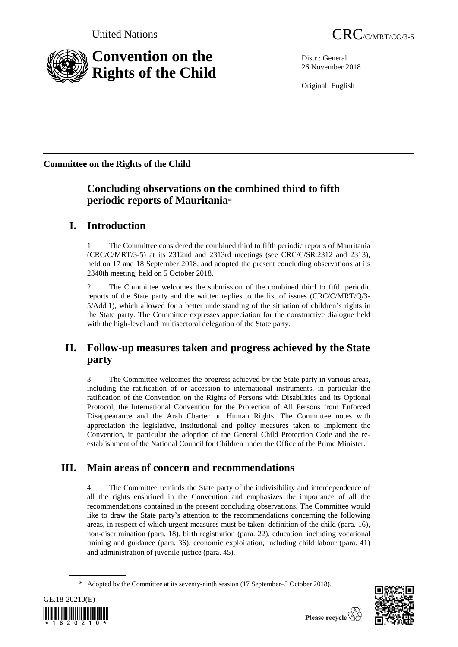

Distr.: General 26 November 2018

Original: English

**Committee on the Rights of the Child**

# **Concluding observations on the combined third to fifth periodic reports of Mauritania**\*

# **I. Introduction**

1. The Committee considered the combined third to fifth periodic reports of Mauritania (CRC/C/MRT/3-5) at its 2312nd and 2313rd meetings (see CRC/C/SR.2312 and 2313), held on 17 and 18 September 2018, and adopted the present concluding observations at its 2340th meeting, held on 5 October 2018.

2. The Committee welcomes the submission of the combined third to fifth periodic reports of the State party and the written replies to the list of issues (CRC/C/MRT/Q/3- 5/Add.1), which allowed for a better understanding of the situation of children's rights in the State party. The Committee expresses appreciation for the constructive dialogue held with the high-level and multisectoral delegation of the State party.

# **II. Follow-up measures taken and progress achieved by the State party**

3. The Committee welcomes the progress achieved by the State party in various areas, including the ratification of or accession to international instruments, in particular the ratification of the Convention on the Rights of Persons with Disabilities and its Optional Protocol, the International Convention for the Protection of All Persons from Enforced Disappearance and the Arab Charter on Human Rights. The Committee notes with appreciation the legislative, institutional and policy measures taken to implement the Convention, in particular the adoption of the General Child Protection Code and the reestablishment of the National Council for Children under the Office of the Prime Minister.

# **III. Main areas of concern and recommendations**

4. The Committee reminds the State party of the indivisibility and interdependence of all the rights enshrined in the Convention and emphasizes the importance of all the recommendations contained in the present concluding observations. The Committee would like to draw the State party's attention to the recommendations concerning the following areas, in respect of which urgent measures must be taken: definition of the child (para. 16), non-discrimination (para. 18), birth registration (para. 22), education, including vocational training and guidance (para. 36), economic exploitation, including child labour (para. 41) and administration of juvenile justice (para. 45).

<sup>\*</sup> Adopted by the Committee at its seventy-ninth session (17 September–5 October 2018).



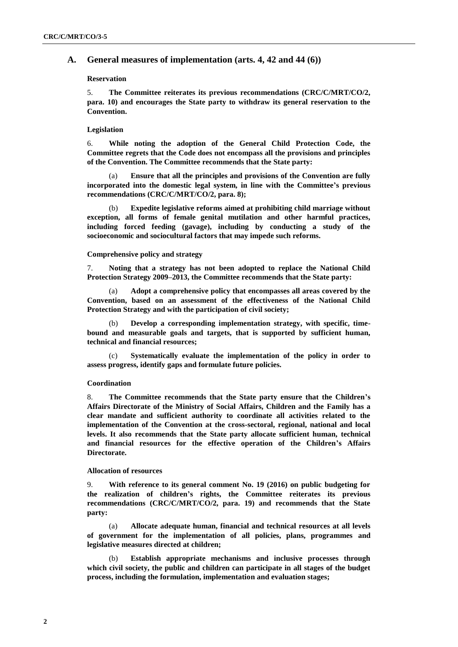# **A. General measures of implementation (arts. 4, 42 and 44 (6))**

## **Reservation**

5. **The Committee reiterates its previous recommendations (CRC/C/MRT/CO/2, para. 10) and encourages the State party to withdraw its general reservation to the Convention.** 

## **Legislation**

6. **While noting the adoption of the General Child Protection Code, the Committee regrets that the Code does not encompass all the provisions and principles of the Convention. The Committee recommends that the State party:**

(a) **Ensure that all the principles and provisions of the Convention are fully incorporated into the domestic legal system, in line with the Committee's previous recommendations (CRC/C/MRT/CO/2, para. 8);**

(b) **Expedite legislative reforms aimed at prohibiting child marriage without exception, all forms of female genital mutilation and other harmful practices, including forced feeding (gavage), including by conducting a study of the socioeconomic and sociocultural factors that may impede such reforms.**

#### **Comprehensive policy and strategy**

7. **Noting that a strategy has not been adopted to replace the National Child Protection Strategy 2009–2013, the Committee recommends that the State party:** 

Adopt a comprehensive policy that encompasses all areas covered by the **Convention, based on an assessment of the effectiveness of the National Child Protection Strategy and with the participation of civil society;**

(b) **Develop a corresponding implementation strategy, with specific, timebound and measurable goals and targets, that is supported by sufficient human, technical and financial resources;**

Systematically evaluate the implementation of the policy in order to **assess progress, identify gaps and formulate future policies.**

#### **Coordination**

8. **The Committee recommends that the State party ensure that the Children's Affairs Directorate of the Ministry of Social Affairs, Children and the Family has a clear mandate and sufficient authority to coordinate all activities related to the implementation of the Convention at the cross-sectoral, regional, national and local levels. It also recommends that the State party allocate sufficient human, technical and financial resources for the effective operation of the Children's Affairs Directorate.**

## **Allocation of resources**

9. **With reference to its general comment No. 19 (2016) on public budgeting for the realization of children's rights, the Committee reiterates its previous recommendations (CRC/C/MRT/CO/2, para. 19) and recommends that the State party:**

(a) **Allocate adequate human, financial and technical resources at all levels of government for the implementation of all policies, plans, programmes and legislative measures directed at children;**

(b) **Establish appropriate mechanisms and inclusive processes through which civil society, the public and children can participate in all stages of the budget process, including the formulation, implementation and evaluation stages;**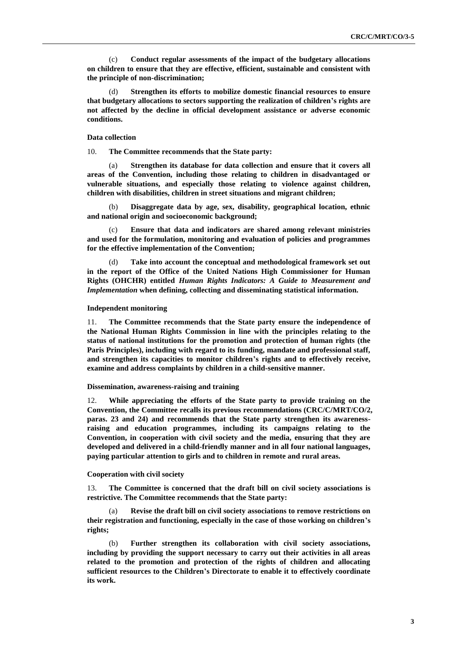(c) **Conduct regular assessments of the impact of the budgetary allocations on children to ensure that they are effective, efficient, sustainable and consistent with the principle of non-discrimination;**

(d) **Strengthen its efforts to mobilize domestic financial resources to ensure that budgetary allocations to sectors supporting the realization of children's rights are not affected by the decline in official development assistance or adverse economic conditions.**

### **Data collection**

10. **The Committee recommends that the State party:**

(a) **Strengthen its database for data collection and ensure that it covers all areas of the Convention, including those relating to children in disadvantaged or vulnerable situations, and especially those relating to violence against children, children with disabilities, children in street situations and migrant children;** 

(b) **Disaggregate data by age, sex, disability, geographical location, ethnic and national origin and socioeconomic background;**

(c) **Ensure that data and indicators are shared among relevant ministries and used for the formulation, monitoring and evaluation of policies and programmes for the effective implementation of the Convention;**

(d) **Take into account the conceptual and methodological framework set out in the report of the Office of the United Nations High Commissioner for Human Rights (OHCHR) entitled** *Human Rights Indicators: A Guide to Measurement and Implementation* **when defining, collecting and disseminating statistical information.**

### **Independent monitoring**

11. **The Committee recommends that the State party ensure the independence of the National Human Rights Commission in line with the principles relating to the status of national institutions for the promotion and protection of human rights (the Paris Principles), including with regard to its funding, mandate and professional staff, and strengthen its capacities to monitor children's rights and to effectively receive, examine and address complaints by children in a child-sensitive manner.**

### **Dissemination, awareness-raising and training**

12. **While appreciating the efforts of the State party to provide training on the Convention, the Committee recalls its previous recommendations (CRC/C/MRT/CO/2, paras. 23 and 24) and recommends that the State party strengthen its awarenessraising and education programmes, including its campaigns relating to the Convention, in cooperation with civil society and the media, ensuring that they are developed and delivered in a child-friendly manner and in all four national languages, paying particular attention to girls and to children in remote and rural areas.**

### **Cooperation with civil society**

13. **The Committee is concerned that the draft bill on civil society associations is restrictive. The Committee recommends that the State party:**

(a) **Revise the draft bill on civil society associations to remove restrictions on their registration and functioning, especially in the case of those working on children's rights;**

(b) **Further strengthen its collaboration with civil society associations, including by providing the support necessary to carry out their activities in all areas related to the promotion and protection of the rights of children and allocating sufficient resources to the Children's Directorate to enable it to effectively coordinate its work.**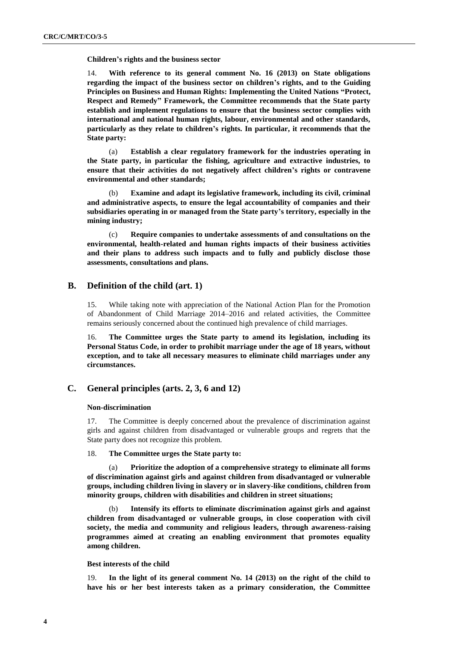**Children's rights and the business sector**

14. **With reference to its general comment No. 16 (2013) on State obligations regarding the impact of the business sector on children's rights, and to the Guiding Principles on Business and Human Rights: Implementing the United Nations "Protect, Respect and Remedy" Framework, the Committee recommends that the State party establish and implement regulations to ensure that the business sector complies with international and national human rights, labour, environmental and other standards, particularly as they relate to children's rights. In particular, it recommends that the State party:**

(a) **Establish a clear regulatory framework for the industries operating in the State party, in particular the fishing, agriculture and extractive industries, to ensure that their activities do not negatively affect children's rights or contravene environmental and other standards;**

(b) **Examine and adapt its legislative framework, including its civil, criminal and administrative aspects, to ensure the legal accountability of companies and their subsidiaries operating in or managed from the State party's territory, especially in the mining industry;**

(c) **Require companies to undertake assessments of and consultations on the environmental, health-related and human rights impacts of their business activities and their plans to address such impacts and to fully and publicly disclose those assessments, consultations and plans.**

# **B. Definition of the child (art. 1)**

15. While taking note with appreciation of the National Action Plan for the Promotion of Abandonment of Child Marriage 2014–2016 and related activities, the Committee remains seriously concerned about the continued high prevalence of child marriages.

16. **The Committee urges the State party to amend its legislation, including its Personal Status Code, in order to prohibit marriage under the age of 18 years, without exception, and to take all necessary measures to eliminate child marriages under any circumstances.** 

## **C. General principles (arts. 2, 3, 6 and 12)**

## **Non-discrimination**

17. The Committee is deeply concerned about the prevalence of discrimination against girls and against children from disadvantaged or vulnerable groups and regrets that the State party does not recognize this problem.

## 18. **The Committee urges the State party to:**

(a) **Prioritize the adoption of a comprehensive strategy to eliminate all forms of discrimination against girls and against children from disadvantaged or vulnerable groups, including children living in slavery or in slavery-like conditions, children from minority groups, children with disabilities and children in street situations;**

(b) **Intensify its efforts to eliminate discrimination against girls and against children from disadvantaged or vulnerable groups, in close cooperation with civil society, the media and community and religious leaders, through awareness-raising programmes aimed at creating an enabling environment that promotes equality among children.**

## **Best interests of the child**

19. **In the light of its general comment No. 14 (2013) on the right of the child to have his or her best interests taken as a primary consideration, the Committee**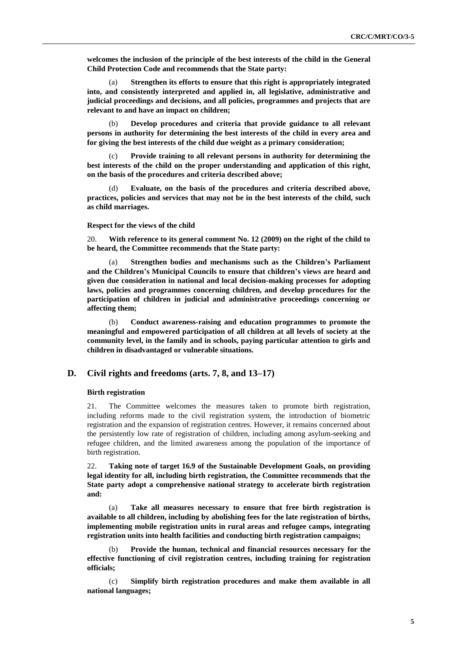**welcomes the inclusion of the principle of the best interests of the child in the General Child Protection Code and recommends that the State party:**

(a) **Strengthen its efforts to ensure that this right is appropriately integrated into, and consistently interpreted and applied in, all legislative, administrative and judicial proceedings and decisions, and all policies, programmes and projects that are relevant to and have an impact on children;**

(b) **Develop procedures and criteria that provide guidance to all relevant persons in authority for determining the best interests of the child in every area and for giving the best interests of the child due weight as a primary consideration;**

(c) **Provide training to all relevant persons in authority for determining the best interests of the child on the proper understanding and application of this right, on the basis of the procedures and criteria described above;**

Evaluate, on the basis of the procedures and criteria described above, **practices, policies and services that may not be in the best interests of the child, such as child marriages.** 

#### **Respect for the views of the child**

20. **With reference to its general comment No. 12 (2009) on the right of the child to be heard, the Committee recommends that the State party:** 

(a) **Strengthen bodies and mechanisms such as the Children's Parliament and the Children's Municipal Councils to ensure that children's views are heard and given due consideration in national and local decision-making processes for adopting laws, policies and programmes concerning children, and develop procedures for the participation of children in judicial and administrative proceedings concerning or affecting them;**

(b) **Conduct awareness-raising and education programmes to promote the meaningful and empowered participation of all children at all levels of society at the community level, in the family and in schools, paying particular attention to girls and children in disadvantaged or vulnerable situations.**

# **D. Civil rights and freedoms (arts. 7, 8, and 13–17)**

## **Birth registration**

21. The Committee welcomes the measures taken to promote birth registration, including reforms made to the civil registration system, the introduction of biometric registration and the expansion of registration centres. However, it remains concerned about the persistently low rate of registration of children, including among asylum-seeking and refugee children, and the limited awareness among the population of the importance of birth registration.

22. **Taking note of target 16.9 of the Sustainable Development Goals, on providing legal identity for all, including birth registration, the Committee recommends that the State party adopt a comprehensive national strategy to accelerate birth registration and:**

(a) **Take all measures necessary to ensure that free birth registration is available to all children, including by abolishing fees for the late registration of births, implementing mobile registration units in rural areas and refugee camps, integrating registration units into health facilities and conducting birth registration campaigns;**

Provide the human, technical and financial resources necessary for the **effective functioning of civil registration centres, including training for registration officials;**

(c) **Simplify birth registration procedures and make them available in all national languages;**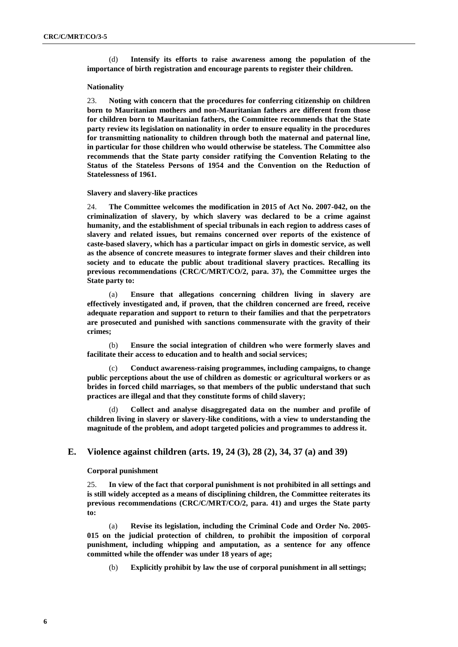(d) **Intensify its efforts to raise awareness among the population of the importance of birth registration and encourage parents to register their children.**

#### **Nationality**

23. **Noting with concern that the procedures for conferring citizenship on children born to Mauritanian mothers and non-Mauritanian fathers are different from those for children born to Mauritanian fathers, the Committee recommends that the State party review its legislation on nationality in order to ensure equality in the procedures for transmitting nationality to children through both the maternal and paternal line, in particular for those children who would otherwise be stateless. The Committee also recommends that the State party consider ratifying the Convention Relating to the Status of the Stateless Persons of 1954 and the Convention on the Reduction of Statelessness of 1961.**

#### **Slavery and slavery-like practices**

24. **The Committee welcomes the modification in 2015 of Act No. 2007-042, on the criminalization of slavery, by which slavery was declared to be a crime against humanity, and the establishment of special tribunals in each region to address cases of slavery and related issues, but remains concerned over reports of the existence of caste-based slavery, which has a particular impact on girls in domestic service, as well as the absence of concrete measures to integrate former slaves and their children into society and to educate the public about traditional slavery practices. Recalling its previous recommendations (CRC/C/MRT/CO/2, para. 37), the Committee urges the State party to:**

(a) **Ensure that allegations concerning children living in slavery are effectively investigated and, if proven, that the children concerned are freed, receive adequate reparation and support to return to their families and that the perpetrators are prosecuted and punished with sanctions commensurate with the gravity of their crimes;**

(b) **Ensure the social integration of children who were formerly slaves and facilitate their access to education and to health and social services;**

(c) **Conduct awareness-raising programmes, including campaigns, to change public perceptions about the use of children as domestic or agricultural workers or as brides in forced child marriages, so that members of the public understand that such practices are illegal and that they constitute forms of child slavery;**

Collect and analyse disaggregated data on the number and profile of **children living in slavery or slavery-like conditions, with a view to understanding the magnitude of the problem, and adopt targeted policies and programmes to address it.**

# **E. Violence against children (arts. 19, 24 (3), 28 (2), 34, 37 (a) and 39)**

#### **Corporal punishment**

25. **In view of the fact that corporal punishment is not prohibited in all settings and is still widely accepted as a means of disciplining children, the Committee reiterates its previous recommendations (CRC/C/MRT/CO/2, para. 41) and urges the State party to:**

(a) **Revise its legislation, including the Criminal Code and Order No. 2005- 015 on the judicial protection of children, to prohibit the imposition of corporal punishment, including whipping and amputation, as a sentence for any offence committed while the offender was under 18 years of age;**

(b) **Explicitly prohibit by law the use of corporal punishment in all settings;**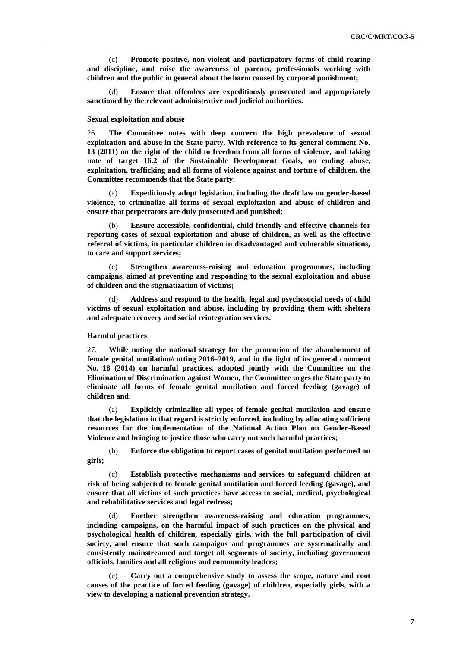(c) **Promote positive, non-violent and participatory forms of child-rearing and discipline, and raise the awareness of parents, professionals working with children and the public in general about the harm caused by corporal punishment;**

(d) **Ensure that offenders are expeditiously prosecuted and appropriately sanctioned by the relevant administrative and judicial authorities.**

#### **Sexual exploitation and abuse**

26. **The Committee notes with deep concern the high prevalence of sexual exploitation and abuse in the State party. With reference to its general comment No. 13 (2011) on the right of the child to freedom from all forms of violence, and taking note of target 16.2 of the Sustainable Development Goals, on ending abuse, exploitation, trafficking and all forms of violence against and torture of children, the Committee recommends that the State party:**

(a) **Expeditiously adopt legislation, including the draft law on gender-based violence, to criminalize all forms of sexual exploitation and abuse of children and ensure that perpetrators are duly prosecuted and punished;** 

(b) **Ensure accessible, confidential, child-friendly and effective channels for reporting cases of sexual exploitation and abuse of children, as well as the effective referral of victims, in particular children in disadvantaged and vulnerable situations, to care and support services;**

(c) **Strengthen awareness-raising and education programmes, including campaigns, aimed at preventing and responding to the sexual exploitation and abuse of children and the stigmatization of victims;**

(d) **Address and respond to the health, legal and psychosocial needs of child victims of sexual exploitation and abuse, including by providing them with shelters and adequate recovery and social reintegration services.**

## **Harmful practices**

27. **While noting the national strategy for the promotion of the abandonment of female genital mutilation/cutting 2016–2019, and in the light of its general comment No. 18 (2014) on harmful practices, adopted jointly with the Committee on the Elimination of Discrimination against Women, the Committee urges the State party to eliminate all forms of female genital mutilation and forced feeding (gavage) of children and:** 

(a) **Explicitly criminalize all types of female genital mutilation and ensure that the legislation in that regard is strictly enforced, including by allocating sufficient resources for the implementation of the National Action Plan on Gender-Based Violence and bringing to justice those who carry out such harmful practices;** 

(b) **Enforce the obligation to report cases of genital mutilation performed on girls;**

(c) **Establish protective mechanisms and services to safeguard children at risk of being subjected to female genital mutilation and forced feeding (gavage), and ensure that all victims of such practices have access to social, medical, psychological and rehabilitative services and legal redress;**

(d) **Further strengthen awareness-raising and education programmes, including campaigns, on the harmful impact of such practices on the physical and psychological health of children, especially girls, with the full participation of civil society, and ensure that such campaigns and programmes are systematically and consistently mainstreamed and target all segments of society, including government officials, families and all religious and community leaders;**

Carry out a comprehensive study to assess the scope, nature and root **causes of the practice of forced feeding (gavage) of children, especially girls, with a view to developing a national prevention strategy.**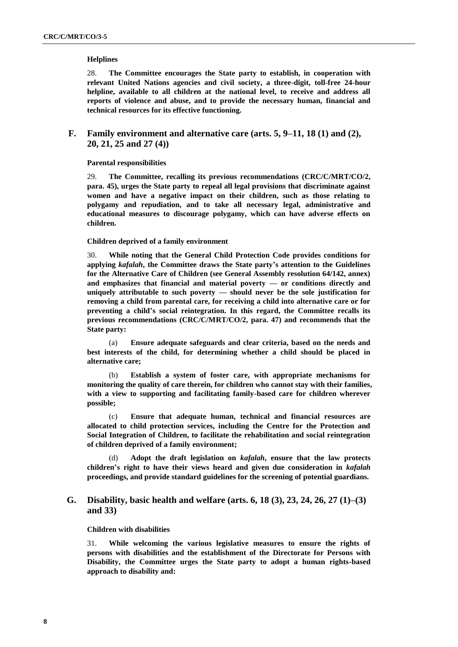## **Helplines**

28. **The Committee encourages the State party to establish, in cooperation with relevant United Nations agencies and civil society, a three-digit, toll-free 24-hour helpline, available to all children at the national level, to receive and address all reports of violence and abuse, and to provide the necessary human, financial and technical resources for its effective functioning.**

# **F. Family environment and alternative care (arts. 5, 9–11, 18 (1) and (2), 20, 21, 25 and 27 (4))**

## **Parental responsibilities**

29. **The Committee, recalling its previous recommendations (CRC/C/MRT/CO/2, para. 45), urges the State party to repeal all legal provisions that discriminate against women and have a negative impact on their children, such as those relating to polygamy and repudiation, and to take all necessary legal, administrative and educational measures to discourage polygamy, which can have adverse effects on children.**

### **Children deprived of a family environment**

30. **While noting that the General Child Protection Code provides conditions for applying** *kafalah***, the Committee draws the State party's attention to the Guidelines for the Alternative Care of Children (see General Assembly resolution 64/142, annex) and emphasizes that financial and material poverty — or conditions directly and uniquely attributable to such poverty — should never be the sole justification for removing a child from parental care, for receiving a child into alternative care or for preventing a child's social reintegration. In this regard, the Committee recalls its previous recommendations (CRC/C/MRT/CO/2, para. 47) and recommends that the State party:**

Ensure adequate safeguards and clear criteria, based on the needs and **best interests of the child, for determining whether a child should be placed in alternative care;**

(b) **Establish a system of foster care, with appropriate mechanisms for monitoring the quality of care therein, for children who cannot stay with their families, with a view to supporting and facilitating family-based care for children wherever possible;**

(c) **Ensure that adequate human, technical and financial resources are allocated to child protection services, including the Centre for the Protection and Social Integration of Children, to facilitate the rehabilitation and social reintegration of children deprived of a family environment;**

(d) **Adopt the draft legislation on** *kafalah***, ensure that the law protects children's right to have their views heard and given due consideration in** *kafalah* **proceedings, and provide standard guidelines for the screening of potential guardians.** 

# **G. Disability, basic health and welfare (arts. 6, 18 (3), 23, 24, 26, 27 (1)–(3) and 33)**

## **Children with disabilities**

31. **While welcoming the various legislative measures to ensure the rights of persons with disabilities and the establishment of the Directorate for Persons with Disability, the Committee urges the State party to adopt a human rights-based approach to disability and:**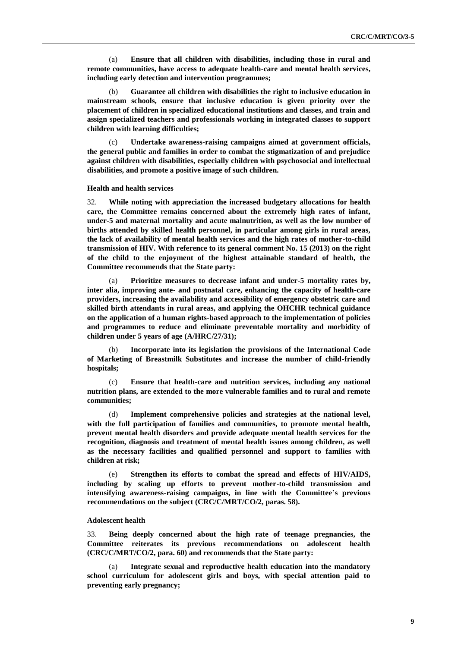(a) **Ensure that all children with disabilities, including those in rural and remote communities, have access to adequate health-care and mental health services, including early detection and intervention programmes;**

(b) **Guarantee all children with disabilities the right to inclusive education in mainstream schools, ensure that inclusive education is given priority over the placement of children in specialized educational institutions and classes, and train and assign specialized teachers and professionals working in integrated classes to support children with learning difficulties;**

(c) **Undertake awareness-raising campaigns aimed at government officials, the general public and families in order to combat the stigmatization of and prejudice against children with disabilities, especially children with psychosocial and intellectual disabilities, and promote a positive image of such children.**

### **Health and health services**

32. **While noting with appreciation the increased budgetary allocations for health care, the Committee remains concerned about the extremely high rates of infant, under-5 and maternal mortality and acute malnutrition, as well as the low number of births attended by skilled health personnel, in particular among girls in rural areas, the lack of availability of mental health services and the high rates of mother-to-child transmission of HIV. With reference to its general comment No. 15 (2013) on the right of the child to the enjoyment of the highest attainable standard of health, the Committee recommends that the State party:**

(a) **Prioritize measures to decrease infant and under-5 mortality rates by, inter alia, improving ante- and postnatal care, enhancing the capacity of health-care providers, increasing the availability and accessibility of emergency obstetric care and skilled birth attendants in rural areas, and applying the OHCHR technical guidance on the application of a human rights-based approach to the implementation of policies and programmes to reduce and eliminate preventable mortality and morbidity of children under 5 years of age (A/HRC/27/31);**

(b) **Incorporate into its legislation the provisions of the International Code of Marketing of Breastmilk Substitutes and increase the number of child-friendly hospitals;**

(c) **Ensure that health-care and nutrition services, including any national nutrition plans, are extended to the more vulnerable families and to rural and remote communities;**

(d) **Implement comprehensive policies and strategies at the national level, with the full participation of families and communities, to promote mental health, prevent mental health disorders and provide adequate mental health services for the recognition, diagnosis and treatment of mental health issues among children, as well as the necessary facilities and qualified personnel and support to families with children at risk;**

(e) **Strengthen its efforts to combat the spread and effects of HIV/AIDS, including by scaling up efforts to prevent mother-to-child transmission and intensifying awareness-raising campaigns, in line with the Committee's previous recommendations on the subject (CRC/C/MRT/CO/2, paras. 58).**

### **Adolescent health**

33. **Being deeply concerned about the high rate of teenage pregnancies, the Committee reiterates its previous recommendations on adolescent health (CRC/C/MRT/CO/2, para. 60) and recommends that the State party:** 

(a) **Integrate sexual and reproductive health education into the mandatory school curriculum for adolescent girls and boys, with special attention paid to preventing early pregnancy;**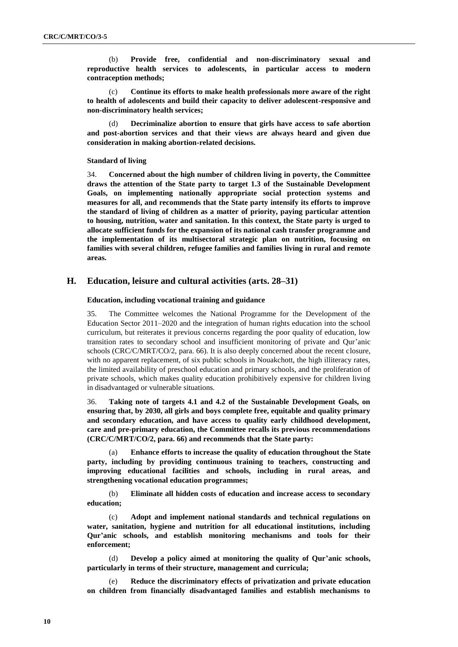(b) **Provide free, confidential and non-discriminatory sexual and reproductive health services to adolescents, in particular access to modern contraception methods;**

(c) **Continue its efforts to make health professionals more aware of the right to health of adolescents and build their capacity to deliver adolescent-responsive and non-discriminatory health services;**

(d) **Decriminalize abortion to ensure that girls have access to safe abortion and post-abortion services and that their views are always heard and given due consideration in making abortion-related decisions.**

## **Standard of living**

34. **Concerned about the high number of children living in poverty, the Committee draws the attention of the State party to target 1.3 of the Sustainable Development Goals, on implementing nationally appropriate social protection systems and measures for all, and recommends that the State party intensify its efforts to improve the standard of living of children as a matter of priority, paying particular attention to housing, nutrition, water and sanitation. In this context, the State party is urged to allocate sufficient funds for the expansion of its national cash transfer programme and the implementation of its multisectoral strategic plan on nutrition, focusing on families with several children, refugee families and families living in rural and remote areas.** 

## **H. Education, leisure and cultural activities (arts. 28–31)**

## **Education, including vocational training and guidance**

35. The Committee welcomes the National Programme for the Development of the Education Sector 2011–2020 and the integration of human rights education into the school curriculum, but reiterates it previous concerns regarding the poor quality of education, low transition rates to secondary school and insufficient monitoring of private and Qur'anic schools (CRC/C/MRT/CO/2, para. 66). It is also deeply concerned about the recent closure, with no apparent replacement, of six public schools in Nouakchott, the high illiteracy rates, the limited availability of preschool education and primary schools, and the proliferation of private schools, which makes quality education prohibitively expensive for children living in disadvantaged or vulnerable situations.

36. **Taking note of targets 4.1 and 4.2 of the Sustainable Development Goals, on ensuring that, by 2030, all girls and boys complete free, equitable and quality primary and secondary education, and have access to quality early childhood development, care and pre-primary education, the Committee recalls its previous recommendations (CRC/C/MRT/CO/2, para. 66) and recommends that the State party:**

(a) **Enhance efforts to increase the quality of education throughout the State party, including by providing continuous training to teachers, constructing and improving educational facilities and schools, including in rural areas, and strengthening vocational education programmes;**

(b) **Eliminate all hidden costs of education and increase access to secondary education;**

(c) **Adopt and implement national standards and technical regulations on water, sanitation, hygiene and nutrition for all educational institutions, including Qur'anic schools, and establish monitoring mechanisms and tools for their enforcement;**

(d) **Develop a policy aimed at monitoring the quality of Qur'anic schools, particularly in terms of their structure, management and curricula;**

**Reduce the discriminatory effects of privatization and private education on children from financially disadvantaged families and establish mechanisms to**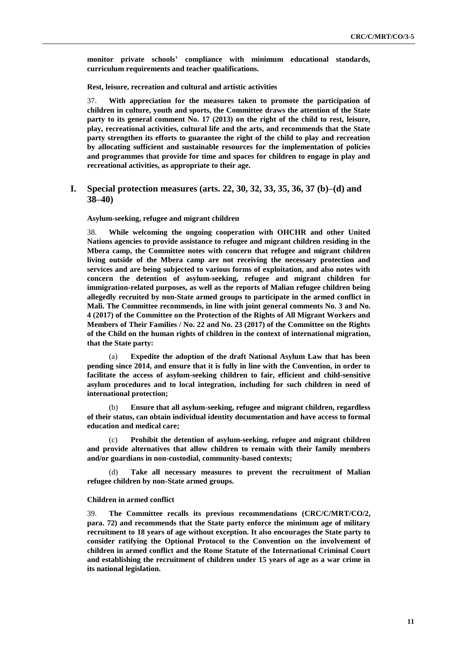**monitor private schools' compliance with minimum educational standards, curriculum requirements and teacher qualifications.**

**Rest, leisure, recreation and cultural and artistic activities**

37. **With appreciation for the measures taken to promote the participation of children in culture, youth and sports, the Committee draws the attention of the State party to its general comment No. 17 (2013) on the right of the child to rest, leisure, play, recreational activities, cultural life and the arts, and recommends that the State party strengthen its efforts to guarantee the right of the child to play and recreation by allocating sufficient and sustainable resources for the implementation of policies and programmes that provide for time and spaces for children to engage in play and recreational activities, as appropriate to their age.**

# **I. Special protection measures (arts. 22, 30, 32, 33, 35, 36, 37 (b)–(d) and 38–40)**

**Asylum-seeking, refugee and migrant children**

38. **While welcoming the ongoing cooperation with OHCHR and other United Nations agencies to provide assistance to refugee and migrant children residing in the Mbera camp, the Committee notes with concern that refugee and migrant children living outside of the Mbera camp are not receiving the necessary protection and services and are being subjected to various forms of exploitation, and also notes with concern the detention of asylum-seeking, refugee and migrant children for immigration-related purposes, as well as the reports of Malian refugee children being allegedly recruited by non-State armed groups to participate in the armed conflict in Mali. The Committee recommends, in line with joint general comments No. 3 and No. 4 (2017) of the Committee on the Protection of the Rights of All Migrant Workers and Members of Their Families / No. 22 and No. 23 (2017) of the Committee on the Rights of the Child on the human rights of children in the context of international migration, that the State party:**

(a) **Expedite the adoption of the draft National Asylum Law that has been pending since 2014, and ensure that it is fully in line with the Convention, in order to facilitate the access of asylum-seeking children to fair, efficient and child-sensitive asylum procedures and to local integration, including for such children in need of international protection;** 

(b) **Ensure that all asylum-seeking, refugee and migrant children, regardless of their status, can obtain individual identity documentation and have access to formal education and medical care;** 

(c) **Prohibit the detention of asylum-seeking, refugee and migrant children and provide alternatives that allow children to remain with their family members and/or guardians in non-custodial, community-based contexts;**

Take all necessary measures to prevent the recruitment of Malian **refugee children by non-State armed groups.**

## **Children in armed conflict**

39. **The Committee recalls its previous recommendations (CRC/C/MRT/CO/2, para. 72) and recommends that the State party enforce the minimum age of military recruitment to 18 years of age without exception. It also encourages the State party to consider ratifying the Optional Protocol to the Convention on the involvement of children in armed conflict and the Rome Statute of the International Criminal Court and establishing the recruitment of children under 15 years of age as a war crime in its national legislation.**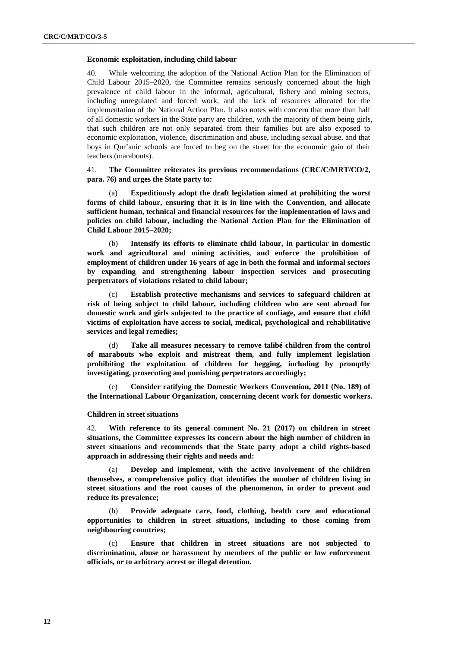### **Economic exploitation, including child labour**

40. While welcoming the adoption of the National Action Plan for the Elimination of Child Labour 2015–2020, the Committee remains seriously concerned about the high prevalence of child labour in the informal, agricultural, fishery and mining sectors, including unregulated and forced work, and the lack of resources allocated for the implementation of the National Action Plan. It also notes with concern that more than half of all domestic workers in the State party are children, with the majority of them being girls, that such children are not only separated from their families but are also exposed to economic exploitation, violence, discrimination and abuse, including sexual abuse, and that boys in Qur'anic schools are forced to beg on the street for the economic gain of their teachers (marabouts).

41. **The Committee reiterates its previous recommendations (CRC/C/MRT/CO/2, para. 76) and urges the State party to:** 

(a) **Expeditiously adopt the draft legislation aimed at prohibiting the worst forms of child labour, ensuring that it is in line with the Convention, and allocate sufficient human, technical and financial resources for the implementation of laws and policies on child labour, including the National Action Plan for the Elimination of Child Labour 2015–2020;**

(b) **Intensify its efforts to eliminate child labour, in particular in domestic work and agricultural and mining activities, and enforce the prohibition of employment of children under 16 years of age in both the formal and informal sectors by expanding and strengthening labour inspection services and prosecuting perpetrators of violations related to child labour;**

(c) **Establish protective mechanisms and services to safeguard children at risk of being subject to child labour, including children who are sent abroad for domestic work and girls subjected to the practice of confiage, and ensure that child victims of exploitation have access to social, medical, psychological and rehabilitative services and legal remedies;**

(d) **Take all measures necessary to remove talibé children from the control of marabouts who exploit and mistreat them, and fully implement legislation prohibiting the exploitation of children for begging, including by promptly investigating, prosecuting and punishing perpetrators accordingly;**

(e) **Consider ratifying the Domestic Workers Convention, 2011 (No. 189) of the International Labour Organization, concerning decent work for domestic workers.**

#### **Children in street situations**

42. **With reference to its general comment No. 21 (2017) on children in street situations, the Committee expresses its concern about the high number of children in street situations and recommends that the State party adopt a child rights-based approach in addressing their rights and needs and:**

(a) **Develop and implement, with the active involvement of the children themselves, a comprehensive policy that identifies the number of children living in street situations and the root causes of the phenomenon, in order to prevent and reduce its prevalence;**

(b) **Provide adequate care, food, clothing, health care and educational opportunities to children in street situations, including to those coming from neighbouring countries;**

(c) **Ensure that children in street situations are not subjected to discrimination, abuse or harassment by members of the public or law enforcement officials, or to arbitrary arrest or illegal detention.**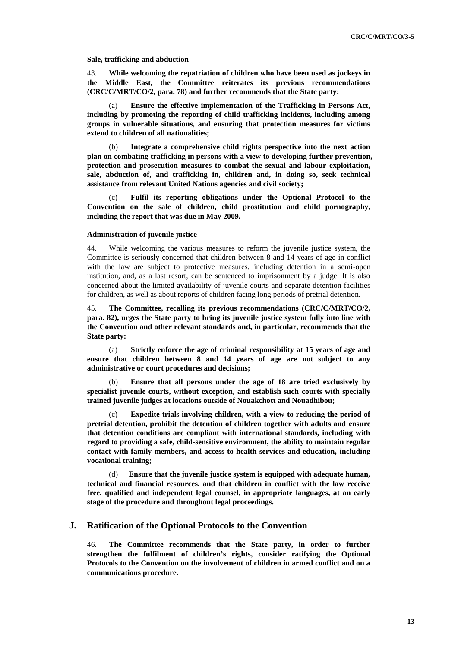#### **Sale, trafficking and abduction**

43. **While welcoming the repatriation of children who have been used as jockeys in the Middle East, the Committee reiterates its previous recommendations (CRC/C/MRT/CO/2, para. 78) and further recommends that the State party:**

(a) **Ensure the effective implementation of the Trafficking in Persons Act, including by promoting the reporting of child trafficking incidents, including among groups in vulnerable situations, and ensuring that protection measures for victims extend to children of all nationalities;**

(b) **Integrate a comprehensive child rights perspective into the next action plan on combating trafficking in persons with a view to developing further prevention, protection and prosecution measures to combat the sexual and labour exploitation, sale, abduction of, and trafficking in, children and, in doing so, seek technical assistance from relevant United Nations agencies and civil society;**

(c) **Fulfil its reporting obligations under the Optional Protocol to the Convention on the sale of children, child prostitution and child pornography, including the report that was due in May 2009.**

### **Administration of juvenile justice**

44. While welcoming the various measures to reform the juvenile justice system, the Committee is seriously concerned that children between 8 and 14 years of age in conflict with the law are subject to protective measures, including detention in a semi-open institution, and, as a last resort, can be sentenced to imprisonment by a judge. It is also concerned about the limited availability of juvenile courts and separate detention facilities for children, as well as about reports of children facing long periods of pretrial detention.

45. **The Committee, recalling its previous recommendations (CRC/C/MRT/CO/2, para. 82), urges the State party to bring its juvenile justice system fully into line with the Convention and other relevant standards and, in particular, recommends that the State party:**

(a) **Strictly enforce the age of criminal responsibility at 15 years of age and ensure that children between 8 and 14 years of age are not subject to any administrative or court procedures and decisions;**

(b) **Ensure that all persons under the age of 18 are tried exclusively by specialist juvenile courts, without exception, and establish such courts with specially trained juvenile judges at locations outside of Nouakchott and Nouadhibou;**

(c) **Expedite trials involving children, with a view to reducing the period of pretrial detention, prohibit the detention of children together with adults and ensure that detention conditions are compliant with international standards, including with regard to providing a safe, child-sensitive environment, the ability to maintain regular contact with family members, and access to health services and education, including vocational training;**

(d) **Ensure that the juvenile justice system is equipped with adequate human, technical and financial resources, and that children in conflict with the law receive free, qualified and independent legal counsel, in appropriate languages, at an early stage of the procedure and throughout legal proceedings.**

## **J. Ratification of the Optional Protocols to the Convention**

46. **The Committee recommends that the State party, in order to further strengthen the fulfilment of children's rights, consider ratifying the Optional Protocols to the Convention on the involvement of children in armed conflict and on a communications procedure.**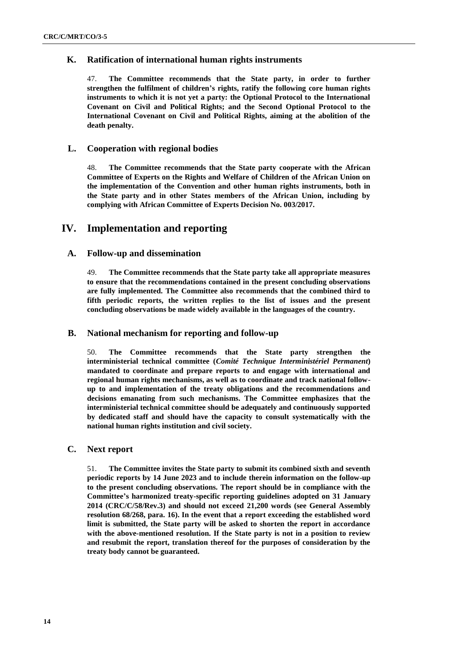# **K. Ratification of international human rights instruments**

47. **The Committee recommends that the State party, in order to further strengthen the fulfilment of children's rights, ratify the following core human rights instruments to which it is not yet a party: the Optional Protocol to the International Covenant on Civil and Political Rights; and the Second Optional Protocol to the International Covenant on Civil and Political Rights, aiming at the abolition of the death penalty.**

# **L. Cooperation with regional bodies**

48. **The Committee recommends that the State party cooperate with the African Committee of Experts on the Rights and Welfare of Children of the African Union on the implementation of the Convention and other human rights instruments, both in the State party and in other States members of the African Union, including by complying with African Committee of Experts Decision No. 003/2017.**

# **IV. Implementation and reporting**

# **A. Follow-up and dissemination**

49. **The Committee recommends that the State party take all appropriate measures to ensure that the recommendations contained in the present concluding observations are fully implemented. The Committee also recommends that the combined third to fifth periodic reports, the written replies to the list of issues and the present concluding observations be made widely available in the languages of the country.** 

# **B. National mechanism for reporting and follow-up**

50. **The Committee recommends that the State party strengthen the interministerial technical committee (***Comité Technique Interministériel Permanent***) mandated to coordinate and prepare reports to and engage with international and regional human rights mechanisms, as well as to coordinate and track national followup to and implementation of the treaty obligations and the recommendations and decisions emanating from such mechanisms. The Committee emphasizes that the interministerial technical committee should be adequately and continuously supported by dedicated staff and should have the capacity to consult systematically with the national human rights institution and civil society.**

# **C. Next report**

51. **The Committee invites the State party to submit its combined sixth and seventh periodic reports by 14 June 2023 and to include therein information on the follow-up to the present concluding observations. The report should be in compliance with the Committee's harmonized treaty-specific reporting guidelines adopted on 31 January 2014 (CRC/C/58/Rev.3) and should not exceed 21,200 words (see General Assembly resolution 68/268, para. 16). In the event that a report exceeding the established word limit is submitted, the State party will be asked to shorten the report in accordance with the above-mentioned resolution. If the State party is not in a position to review and resubmit the report, translation thereof for the purposes of consideration by the treaty body cannot be guaranteed.**